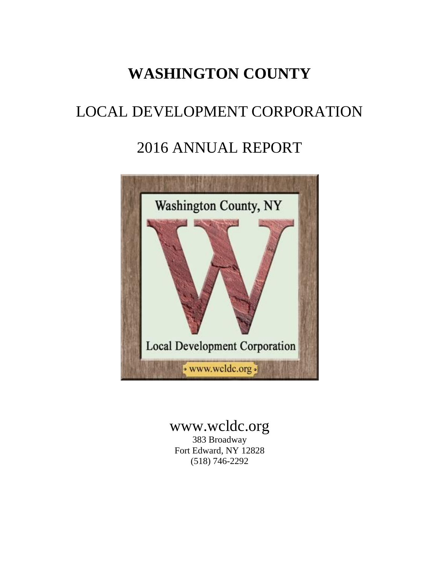# **WASHINGTON COUNTY**

# LOCAL DEVELOPMENT CORPORATION

# 2016 ANNUAL REPORT



# www.wcldc.org

383 Broadway Fort Edward, NY 12828 (518) 746-2292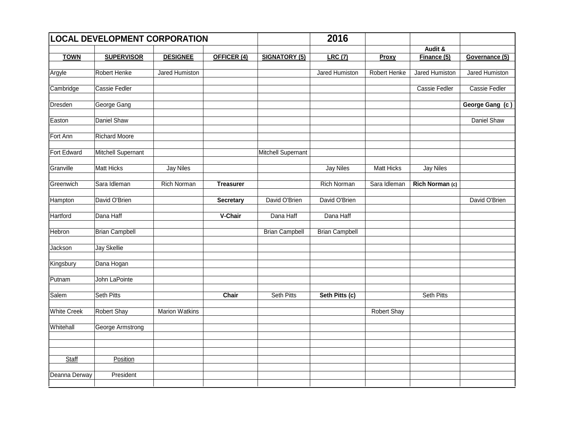| <b>LOCAL DEVELOPMENT CORPORATION</b> |                           |                       |                  |                           | 2016                  |                    |                       |                       |
|--------------------------------------|---------------------------|-----------------------|------------------|---------------------------|-----------------------|--------------------|-----------------------|-----------------------|
|                                      |                           |                       |                  |                           |                       |                    | Audit &               |                       |
| <b>TOWN</b>                          | <b>SUPERVISOR</b>         | <b>DESIGNEE</b>       | OFFICER (4)      | <b>SIGNATORY (5)</b>      | LRC(7)                | Proxy              | Finance (5)           | Governance (5)        |
| Argyle                               | Robert Henke              | <b>Jared Humiston</b> |                  |                           | <b>Jared Humiston</b> | Robert Henke       | <b>Jared Humiston</b> | <b>Jared Humiston</b> |
|                                      |                           |                       |                  |                           |                       |                    |                       |                       |
| Cambridge                            | Cassie Fedler             |                       |                  |                           |                       |                    | Cassie Fedler         | Cassie Fedler         |
|                                      |                           |                       |                  |                           |                       |                    |                       |                       |
| <b>Dresden</b>                       | George Gang               |                       |                  |                           |                       |                    |                       | George Gang (c)       |
| Easton                               | Daniel Shaw               |                       |                  |                           |                       |                    |                       | Daniel Shaw           |
| Fort Ann                             | <b>Richard Moore</b>      |                       |                  |                           |                       |                    |                       |                       |
| Fort Edward                          | <b>Mitchell Supernant</b> |                       |                  | <b>Mitchell Supernant</b> |                       |                    |                       |                       |
| Granville                            | <b>Matt Hicks</b>         | <b>Jay Niles</b>      |                  |                           | <b>Jay Niles</b>      | <b>Matt Hicks</b>  | <b>Jay Niles</b>      |                       |
|                                      |                           |                       |                  |                           |                       |                    |                       |                       |
| Greenwich                            | Sara Idleman              | Rich Norman           | <b>Treasurer</b> |                           | <b>Rich Norman</b>    | Sara Idleman       | Rich Norman (c)       |                       |
| Hampton                              | David O'Brien             |                       | Secretary        | David O'Brien             | David O'Brien         |                    |                       | David O'Brien         |
| <b>Hartford</b>                      | Dana Haff                 |                       | V-Chair          | Dana Haff                 | Dana Haff             |                    |                       |                       |
| Hebron                               | <b>Brian Campbell</b>     |                       |                  | <b>Brian Campbell</b>     | <b>Brian Campbell</b> |                    |                       |                       |
| Jackson                              | <b>Jay Skellie</b>        |                       |                  |                           |                       |                    |                       |                       |
| Kingsbury                            | Dana Hogan                |                       |                  |                           |                       |                    |                       |                       |
| Putnam                               | John LaPointe             |                       |                  |                           |                       |                    |                       |                       |
| Salem                                | <b>Seth Pitts</b>         |                       | Chair            | Seth Pitts                | Seth Pitts (c)        |                    | Seth Pitts            |                       |
| <b>White Creek</b>                   | <b>Robert Shay</b>        | <b>Marion Watkins</b> |                  |                           |                       | <b>Robert Shay</b> |                       |                       |
| Whitehall                            | George Armstrong          |                       |                  |                           |                       |                    |                       |                       |
|                                      |                           |                       |                  |                           |                       |                    |                       |                       |
|                                      |                           |                       |                  |                           |                       |                    |                       |                       |
|                                      |                           |                       |                  |                           |                       |                    |                       |                       |
| Staff                                | Position                  |                       |                  |                           |                       |                    |                       |                       |
| Deanna Derway                        | President                 |                       |                  |                           |                       |                    |                       |                       |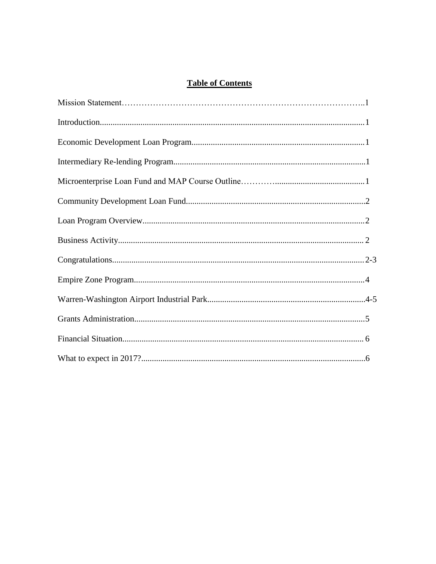# **Table of Contents**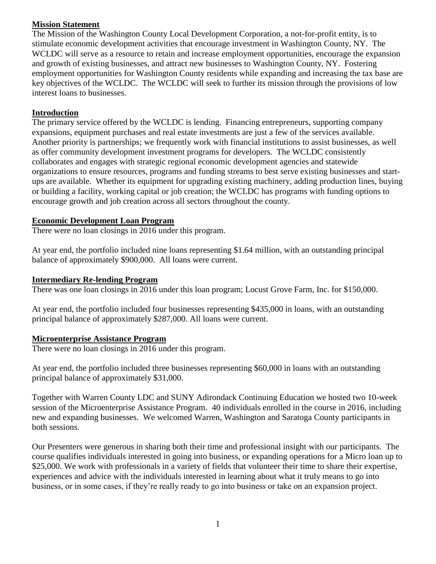## **Mission Statement**

The Mission of the Washington County Local Development Corporation, a not-for-profit entity, is to stimulate economic development activities that encourage investment in Washington County, NY. The WCLDC will serve as a resource to retain and increase employment opportunities, encourage the expansion and growth of existing businesses, and attract new businesses to Washington County, NY. Fostering employment opportunities for Washington County residents while expanding and increasing the tax base are key objectives of the WCLDC. The WCLDC will seek to further its mission through the provisions of low interest loans to businesses.

## **Introduction**

The primary service offered by the WCLDC is lending. Financing entrepreneurs, supporting company expansions, equipment purchases and real estate investments are just a few of the services available. Another priority is partnerships; we frequently work with financial institutions to assist businesses, as well as offer community development investment programs for developers. The WCLDC consistently collaborates and engages with strategic regional economic development agencies and statewide organizations to ensure resources, programs and funding streams to best serve existing businesses and startups are available. Whether its equipment for upgrading existing machinery, adding production lines, buying or building a facility, working capital or job creation; the WCLDC has programs with funding options to encourage growth and job creation across all sectors throughout the county.

# **Economic Development Loan Program**

There were no loan closings in 2016 under this program.

At year end, the portfolio included nine loans representing \$1.64 million, with an outstanding principal balance of approximately \$900,000. All loans were current.

## **Intermediary Re-lending Program**

There was one loan closings in 2016 under this loan program; Locust Grove Farm, Inc. for \$150,000.

At year end, the portfolio included four businesses representing \$435,000 in loans, with an outstanding principal balance of approximately \$287,000. All loans were current.

# **Microenterprise Assistance Program**

There were no loan closings in 2016 under this program.

At year end, the portfolio included three businesses representing \$60,000 in loans with an outstanding principal balance of approximately \$31,000.

Together with Warren County LDC and SUNY Adirondack Continuing Education we hosted two 10-week session of the Microenterprise Assistance Program. 40 individuals enrolled in the course in 2016, including new and expanding businesses. We welcomed Warren, Washington and Saratoga County participants in both sessions.

Our Presenters were generous in sharing both their time and professional insight with our participants. The course qualifies individuals interested in going into business, or expanding operations for a Micro loan up to \$25,000. We work with professionals in a variety of fields that volunteer their time to share their expertise, experiences and advice with the individuals interested in learning about what it truly means to go into business, or in some cases, if they're really ready to go into business or take on an expansion project.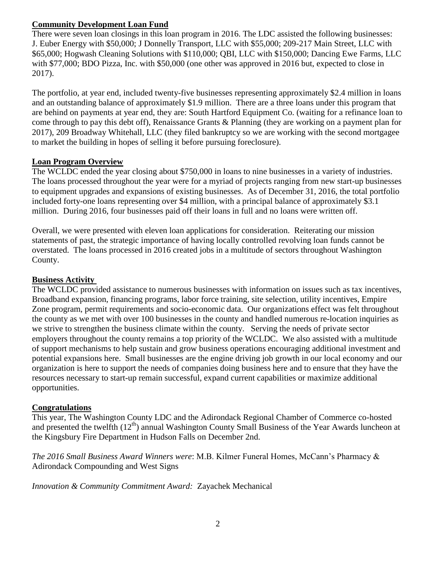# **Community Development Loan Fund**

There were seven loan closings in this loan program in 2016. The LDC assisted the following businesses: J. Euber Energy with \$50,000; J Donnelly Transport, LLC with \$55,000; 209-217 Main Street, LLC with \$65,000; Hogwash Cleaning Solutions with \$110,000; QBI, LLC with \$150,000; Dancing Ewe Farms, LLC with \$77,000; BDO Pizza, Inc. with \$50,000 (one other was approved in 2016 but, expected to close in 2017).

The portfolio, at year end, included twenty-five businesses representing approximately \$2.4 million in loans and an outstanding balance of approximately \$1.9 million. There are a three loans under this program that are behind on payments at year end, they are: South Hartford Equipment Co. (waiting for a refinance loan to come through to pay this debt off), Renaissance Grants & Planning (they are working on a payment plan for 2017), 209 Broadway Whitehall, LLC (they filed bankruptcy so we are working with the second mortgagee to market the building in hopes of selling it before pursuing foreclosure).

# **Loan Program Overview**

The WCLDC ended the year closing about \$750,000 in loans to nine businesses in a variety of industries. The loans processed throughout the year were for a myriad of projects ranging from new start-up businesses to equipment upgrades and expansions of existing businesses. As of December 31, 2016, the total portfolio included forty-one loans representing over \$4 million, with a principal balance of approximately \$3.1 million. During 2016, four businesses paid off their loans in full and no loans were written off.

Overall, we were presented with eleven loan applications for consideration. Reiterating our mission statements of past, the strategic importance of having locally controlled revolving loan funds cannot be overstated. The loans processed in 2016 created jobs in a multitude of sectors throughout Washington County.

# **Business Activity**

The WCLDC provided assistance to numerous businesses with information on issues such as tax incentives, Broadband expansion, financing programs, labor force training, site selection, utility incentives, Empire Zone program, permit requirements and socio-economic data. Our organizations effect was felt throughout the county as we met with over 100 businesses in the county and handled numerous re-location inquiries as we strive to strengthen the business climate within the county. Serving the needs of private sector employers throughout the county remains a top priority of the WCLDC. We also assisted with a multitude of support mechanisms to help sustain and grow business operations encouraging additional investment and potential expansions here. Small businesses are the engine driving job growth in our local economy and our organization is here to support the needs of companies doing business here and to ensure that they have the resources necessary to start-up remain successful, expand current capabilities or maximize additional opportunities.

# **Congratulations**

This year, The Washington County LDC and the Adirondack Regional Chamber of Commerce co-hosted and presented the twelfth (12<sup>th</sup>) annual Washington County Small Business of the Year Awards luncheon at the Kingsbury Fire Department in Hudson Falls on December 2nd.

*The 2016 Small Business Award Winners were*: M.B. Kilmer Funeral Homes, McCann's Pharmacy & Adirondack Compounding and West Signs

*Innovation & Community Commitment Award:* Zayachek Mechanical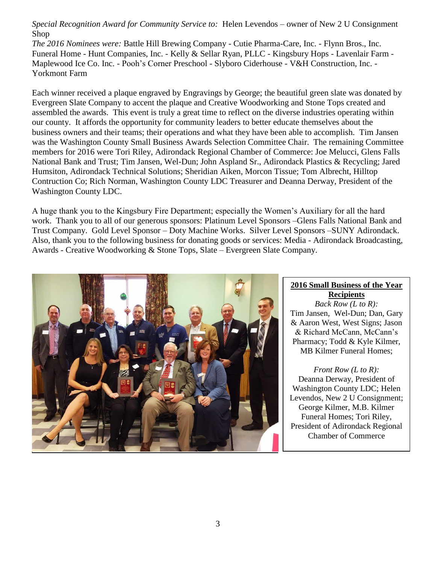*Special Recognition Award for Community Service to:* Helen Levendos – owner of New 2 U Consignment Shop

*The 2016 Nominees were:* Battle Hill Brewing Company - Cutie Pharma-Care, Inc. - Flynn Bros., Inc. Funeral Home - Hunt Companies, Inc. - Kelly & Sellar Ryan, PLLC - Kingsbury Hops - Lavenlair Farm - Maplewood Ice Co. Inc. - Pooh's Corner Preschool - Slyboro Ciderhouse - V&H Construction, Inc. - Yorkmont Farm

Each winner received a plaque engraved by Engravings by George; the beautiful green slate was donated by Evergreen Slate Company to accent the plaque and Creative Woodworking and Stone Tops created and assembled the awards. This event is truly a great time to reflect on the diverse industries operating within our county. It affords the opportunity for community leaders to better educate themselves about the business owners and their teams; their operations and what they have been able to accomplish. Tim Jansen was the Washington County Small Business Awards Selection Committee Chair. The remaining Committee members for 2016 were Tori Riley, Adirondack Regional Chamber of Commerce: Joe Melucci, Glens Falls National Bank and Trust; Tim Jansen, Wel-Dun; John Aspland Sr., Adirondack Plastics & Recycling; Jared Humsiton, Adirondack Technical Solutions; Sheridian Aiken, Morcon Tissue; Tom Albrecht, Hilltop Contruction Co; Rich Norman, Washington County LDC Treasurer and Deanna Derway, President of the Washington County LDC.

A huge thank you to the Kingsbury Fire Department; especially the Women's Auxiliary for all the hard work. Thank you to all of our generous sponsors: Platinum Level Sponsors –Glens Falls National Bank and Trust Company. Gold Level Sponsor – Doty Machine Works. Silver Level Sponsors –SUNY Adirondack. Also, thank you to the following business for donating goods or services: Media - Adirondack Broadcasting, Awards - Creative Woodworking & Stone Tops, Slate – Evergreen Slate Company.



### **2016 Small Business of the Year Recipients**

*Back Row (L to R):* Tim Jansen, Wel-Dun; Dan, Gary & Aaron West, West Signs; Jason & Richard McCann, McCann's Pharmacy; Todd & Kyle Kilmer, MB Kilmer Funeral Homes;

*Front Row (L to R):* Deanna Derway, President of Washington County LDC; Helen Levendos, New 2 U Consignment; George Kilmer, M.B. Kilmer Funeral Homes; Tori Riley, President of Adirondack Regional Chamber of Commerce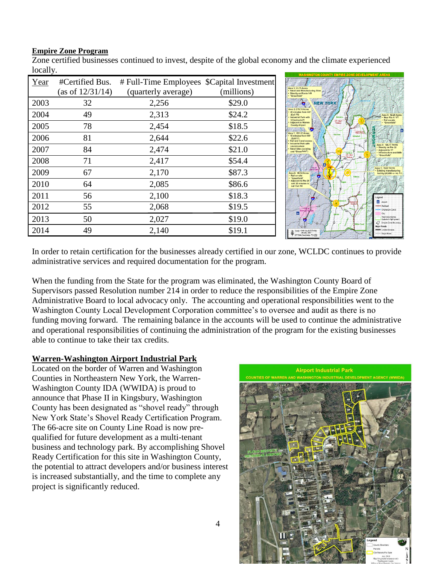#### **Empire Zone Program**

Zone certified businesses continued to invest, despite of the global economy and the climate experienced locally.

| Year | #Certified Bus.  | # Full-Time Employees \$Capital Investment |            |  |  |  |
|------|------------------|--------------------------------------------|------------|--|--|--|
|      | (as of 12/31/14) | (quarterly average)                        | (millions) |  |  |  |
| 2003 | 32               | 2,256                                      | \$29.0     |  |  |  |
| 2004 | 49               | 2,313                                      | \$24.2     |  |  |  |
| 2005 | 78               | 2,454                                      | \$18.5     |  |  |  |
| 2006 | 81               | 2,644                                      | \$22.6     |  |  |  |
| 2007 | 84               | 2,474                                      | \$21.0     |  |  |  |
| 2008 | 71               | 2,417                                      | \$54.4     |  |  |  |
| 2009 | 67               | 2,170                                      | \$87.3     |  |  |  |
| 2010 | 64               | 2,085                                      | \$86.6     |  |  |  |
| 2011 | 56               | 2,100                                      | \$18.3     |  |  |  |
| 2012 | 55               | 2,068                                      | \$19.5     |  |  |  |
| 2013 | 50               | 2,027                                      | \$19.0     |  |  |  |
| 2014 | 49               | 2,140                                      | \$19.1     |  |  |  |



In order to retain certification for the businesses already certified in our zone, WCLDC continues to provide administrative services and required documentation for the program.

When the funding from the State for the program was eliminated, the Washington County Board of Supervisors passed Resolution number 214 in order to reduce the responsibilities of the Empire Zone Administrative Board to local advocacy only. The accounting and operational responsibilities went to the Washington County Local Development Corporation committee's to oversee and audit as there is no funding moving forward. The remaining balance in the accounts will be used to continue the administrative and operational responsibilities of continuing the administration of the program for the existing businesses able to continue to take their tax credits.

### **Warren-Washington Airport Industrial Park**

Located on the border of Warren and Washington Counties in Northeastern New York, the Warren-Washington County IDA (WWIDA) is proud to announce that Phase II in Kingsbury, Washington County has been designated as "shovel ready" through New York State's Shovel Ready Certification Program. The 66-acre site on County Line Road is now prequalified for future development as a multi-tenant business and technology park. By accomplishing Shovel Ready Certification for this site in Washington County, the potential to attract developers and/or business interest is increased substantially, and the time to complete any project is significantly reduced.

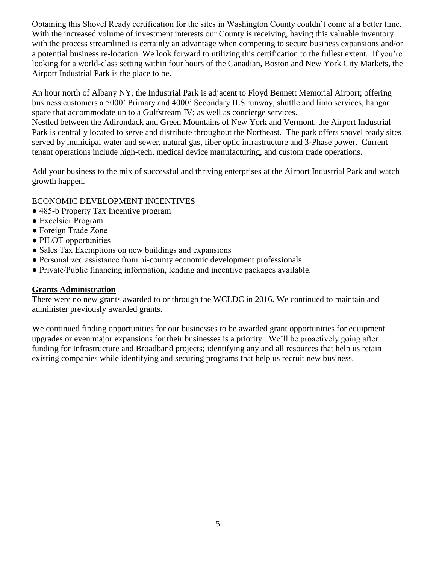Obtaining this Shovel Ready certification for the sites in Washington County couldn't come at a better time. With the increased volume of investment interests our County is receiving, having this valuable inventory with the process streamlined is certainly an advantage when competing to secure business expansions and/or a potential business re-location. We look forward to utilizing this certification to the fullest extent. If you're looking for a world-class setting within four hours of the Canadian, Boston and New York City Markets, the Airport Industrial Park is the place to be.

An hour north of Albany NY, the Industrial Park is adjacent to Floyd Bennett Memorial Airport; offering business customers a 5000' Primary and 4000' Secondary ILS runway, shuttle and limo services, hangar space that accommodate up to a Gulfstream IV; as well as concierge services. Nestled between the Adirondack and Green Mountains of New York and Vermont, the Airport Industrial

Park is centrally located to serve and distribute throughout the Northeast. The park offers shovel ready sites served by municipal water and sewer, natural gas, fiber optic infrastructure and 3-Phase power. Current tenant operations include high-tech, medical device manufacturing, and custom trade operations.

Add your business to the mix of successful and thriving enterprises at the Airport Industrial Park and watch growth happen.

# ECONOMIC DEVELOPMENT INCENTIVES

- 485-b Property Tax Incentive program
- Excelsior Program
- Foreign Trade Zone
- PILOT opportunities
- Sales Tax Exemptions on new buildings and expansions
- Personalized assistance from bi-county economic development professionals
- Private/Public financing information, lending and incentive packages available.

# **Grants Administration**

There were no new grants awarded to or through the WCLDC in 2016. We continued to maintain and administer previously awarded grants.

We continued finding opportunities for our businesses to be awarded grant opportunities for equipment upgrades or even major expansions for their businesses is a priority. We'll be proactively going after funding for Infrastructure and Broadband projects; identifying any and all resources that help us retain existing companies while identifying and securing programs that help us recruit new business.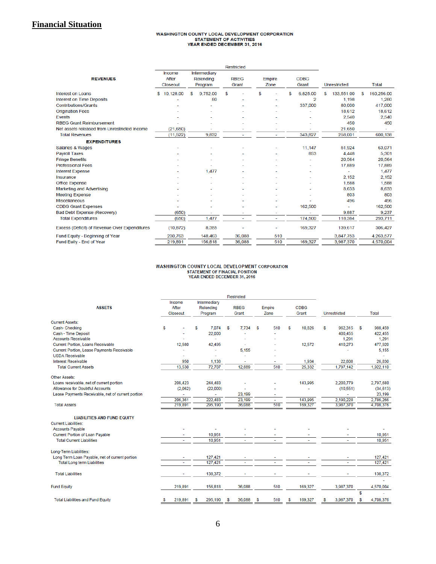# **Financial Situation**

# WASHINGTON COUNTY LOCAL DEVELOPMENT CORPORATION<br>STATEMENT OF ACTIVITIES<br>YEAR ENDED DECEMBER 31, 2016

| <b>REVENUES</b>                               | Income<br>After<br>Closeout | Intermediary<br>Relending<br>Program | <b>RBEG</b><br>Grant | Empire<br>Zone | <b>CDBG</b><br>Grant | Unrestricted    | <b>Total</b>     |  |
|-----------------------------------------------|-----------------------------|--------------------------------------|----------------------|----------------|----------------------|-----------------|------------------|--|
| Interest on Loans                             | \$10,128.00                 | 9,752.00<br>S                        | \$                   | \$             | 6,825.00<br>S        | 133,551.00<br>S | 160.256.00<br>\$ |  |
| <b>Interest on Time Deposits</b>              |                             | 80                                   |                      |                | 2                    | 1,198           | 1,280            |  |
| <b>Contributions/Grants</b>                   |                             |                                      |                      |                | 337,000              | 80,000          | 417,000          |  |
| <b>Origination Fees</b>                       |                             |                                      |                      |                |                      | 18,612          | 18,612           |  |
| Events                                        |                             |                                      |                      |                |                      | 2.540           | 2,540            |  |
| <b>RBEG Grant Reimbursement</b>               |                             |                                      |                      |                |                      | 450             | 450              |  |
| Net assets released from Unrestricted Income  | (21,650)                    |                                      |                      |                |                      | 21,650          |                  |  |
| <b>Total Revenues</b>                         | (11, 522)                   | 9,832                                |                      |                | 343,827              | 258,001         | 600,138          |  |
| <b>EXPENDITURES</b>                           |                             |                                      |                      |                |                      |                 |                  |  |
| Salaries & Wages                              |                             |                                      |                      |                | 11,147               | 51.924          | 63,071           |  |
| <b>Payroll Taxes</b>                          |                             |                                      |                      |                | 853                  | 4.448           | 5,301            |  |
| <b>Fringe Benefits</b>                        |                             |                                      |                      |                |                      | 20.564          | 20,564           |  |
| <b>Professional Fees</b>                      |                             |                                      |                      |                |                      | 17,889          | 17,889           |  |
| <b>Interest Expense</b>                       |                             | 1,477                                |                      |                |                      |                 | 1,477            |  |
| <b>Insurance</b>                              |                             |                                      |                      |                |                      | 2,152           | 2,152            |  |
| <b>Office Expense</b>                         |                             |                                      |                      |                |                      | 1,588           | 1,588            |  |
| Marketing and Advertising                     |                             |                                      |                      |                |                      | 8.633           | 8,633            |  |
| <b>Meeting Expense</b>                        |                             |                                      |                      |                |                      | 803             | 803              |  |
| <b>Miscellaneous</b>                          |                             |                                      |                      |                |                      | 496             | 496              |  |
| <b>CDBG Grant Expenses</b>                    |                             |                                      |                      |                | 162,500              |                 | 162,500          |  |
| <b>Bad Debt Expense (Recovery)</b>            | (650)                       |                                      |                      |                |                      | 9,887           | 9,237            |  |
| <b>Total Expenditures</b>                     | (650)                       | 1,477                                |                      |                | 174,500              | 118,384         | 293,711          |  |
| Excess (Deficit) of Revenue Over Expenditures | (10, 872)                   | 8,355                                |                      |                | 169,327              | 139,617         | 306,427          |  |
| Fund Equity - Beginning of Year               | 230,763                     | 148,463                              | 36,088               | 510            |                      | 3,847,753       | 4,263,577        |  |
| Fund Euity - End of Year                      | 219,891                     | 156,818                              | 36,088               | 510            | 169,327              | 3,987,370       | 4,570,004        |  |

# WASHINGTON COUNTY LOCAL DEVELOPMENT CORPORATION<br>STATEMENT OF FINACIAL POSITION<br>YEAR ENDED DECEMBER 31, 2016

|                                                                   | <b>Restricted</b> |                             |   |                           |   |                      |    |                |                      |         |   |              |         |              |
|-------------------------------------------------------------------|-------------------|-----------------------------|---|---------------------------|---|----------------------|----|----------------|----------------------|---------|---|--------------|---------|--------------|
| <b>ASSETS</b>                                                     |                   | Income<br>After<br>Closeout |   | Intermediary<br>Relending |   |                      |    |                | <b>CDBG</b><br>Grant |         |   |              |         |              |
|                                                                   |                   |                             |   |                           |   | <b>RBEG</b><br>Grant |    | Empire<br>Zone |                      |         |   | Unrestricted |         | <b>Total</b> |
|                                                                   |                   |                             |   | Program                   |   |                      |    |                |                      |         |   |              |         |              |
| <b>Current Assets:</b>                                            |                   |                             |   |                           |   |                      |    |                |                      |         |   |              |         |              |
| Cash-Checking                                                     | S                 |                             | s | 7,074                     | S | 7,734                | S  | 510            | S                    | 10,826  | s | 962,315      | S       | 988,459      |
| Cash - Time Deposit                                               |                   |                             |   | 22,000                    |   |                      |    |                |                      |         |   | 400,455      |         | 422,455      |
| <b>Accounts Receivable</b>                                        |                   |                             |   | ÷.                        |   |                      |    |                |                      |         |   | 1,291        |         | 1,291        |
| Current Portion, Loans Receivable                                 |                   | 12,580                      |   | 42,495                    |   |                      |    |                |                      | 12,572  |   | 410,273      |         | 477,920      |
| Current Portion, Lease Payments Receivable                        |                   |                             |   | ä,                        |   | 5,155                |    |                |                      |         |   |              |         | 5,155        |
| <b>USDA Receivable</b>                                            |                   |                             |   |                           |   |                      |    |                |                      |         |   |              |         |              |
| Interest Receivable                                               |                   | 950                         |   | 1,138                     |   | ٠                    |    |                |                      | 1,934   |   | 22,808       |         | 26,830       |
| <b>Total Current Assets</b>                                       |                   | 13,530                      |   | 72,707                    |   | 12,889               |    | 510            |                      | 25,332  |   | 1,797,142    |         | 1,922,110    |
| Other Assets:                                                     |                   |                             |   |                           |   |                      |    |                |                      |         |   |              |         |              |
| Loans receivable, net of current portion                          |                   | 208,423                     |   | 244,483                   |   |                      |    |                |                      | 143,995 |   | 2,200,779    |         | 2,797,680    |
| Allowance for Doubtful Accounts                                   |                   | (2,062)                     |   | (22,000)                  |   |                      |    |                |                      |         |   | (10, 551)    |         | (34, 613)    |
| Lease Payments Receivable, net of current portion                 |                   | ٠                           |   | ٠                         |   | 23,199               |    | ٠              |                      |         |   |              |         | 23,199       |
|                                                                   |                   | 206,361                     |   | 222,483                   |   | 23.199               |    | ÷.             |                      | 143,995 |   | 2.190.228    |         | 2,786,266    |
| <b>Total Assets</b>                                               |                   | 219,891                     |   | 295,190                   |   | 36,088               |    | 510            |                      | 169,327 |   | 3,987,370    |         | 4,708,376    |
|                                                                   |                   |                             |   |                           |   |                      |    |                |                      |         |   |              |         |              |
| <b>LIABILITIES AND FUND EQUITY</b><br><b>Current Liabilities:</b> |                   |                             |   |                           |   |                      |    |                |                      |         |   |              |         |              |
| <b>Accounts Payable</b>                                           |                   |                             |   |                           |   |                      |    |                |                      |         |   |              |         |              |
| <b>Current Portion of Loan Pavable</b>                            |                   | ٠                           |   | 10.951                    |   |                      |    |                |                      |         |   |              |         | 10.951       |
| <b>Total Current Liabilities</b>                                  |                   | ä,                          |   | 10,951                    |   | $\ddot{\phantom{1}}$ |    |                |                      |         |   |              |         | 10.951       |
| Long-Term Liabilities:                                            |                   |                             |   |                           |   |                      |    |                |                      |         |   |              |         |              |
| Long Term Loan Payable, net of current portion                    |                   | ۰                           |   | 127,421                   |   |                      |    |                |                      |         |   |              |         | 127,421      |
| <b>Total Long term Liabilities</b>                                |                   |                             |   | 127,421                   |   |                      |    |                |                      |         |   |              |         | 127,421      |
|                                                                   |                   |                             |   |                           |   |                      |    |                |                      |         |   |              |         |              |
| <b>Total Liabilities</b>                                          |                   |                             |   | 138,372                   |   |                      |    |                |                      |         |   |              |         | 138,372      |
|                                                                   |                   | 219.891                     |   | 156,818                   |   | 36,088               |    | 510            |                      | 169.327 |   | 3,987,370    |         | 4,570,004    |
| <b>Fund Equity</b>                                                |                   |                             |   |                           |   |                      |    |                |                      |         |   |              |         |              |
| <b>Total Liabilities and Fund Equity</b>                          | s                 | 219,891                     | s | 295,190                   | S | 36,088               | \$ | 510            | S                    | 169,327 | s | 3,987,370    | \$<br>S | 4,708,376    |